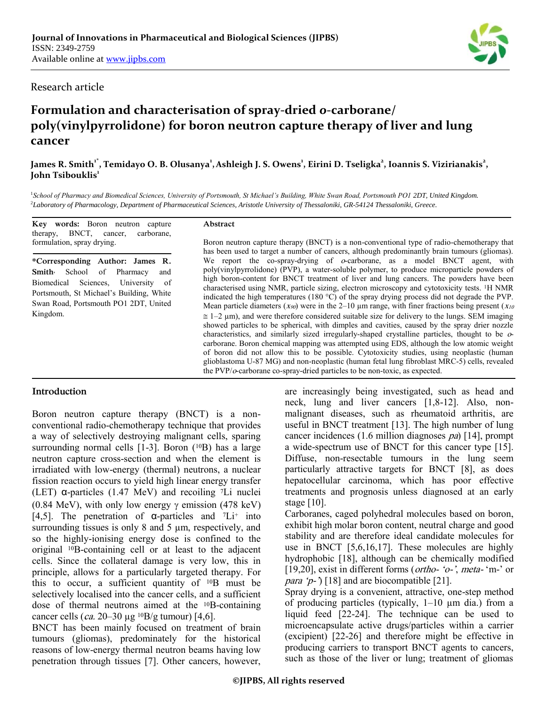### Research article

# **Formulation and characterisation of spray-dried** *o***-carborane/ poly(vinylpyrrolidone) for boron neutron capture therapy of liver and lung cancer**

### James R. Smith'<sup>\*</sup>, Temidayo O. B. Olusanya<sup>1</sup>, Ashleigh J. S. Owens<sup>1</sup>, Eirini D. Tseligka<sup>2</sup>, Ioannis S. Vizirianakis<sup>2</sup>, **John Tsibouklis<sup>1</sup>**

1 *School of Pharmacy and Biomedical Sciences, University of Portsmouth, St Michael's Building, White Swan Road, Portsmouth PO1 2DT, United Kingdom.* 2 *Laboratory of Pharmacology, Department of Pharmaceutical Sciences, Aristotle University of Thessaloniki, GR-54124 Thessaloniki, Greece.*

**Key words:** Boron neutron capture therapy, BNCT, cancer, carborane, formulation, spray drying.

**\*Corresponding Author: James R. Smith,** School of Pharmacy and Biomedical Sciences, University of Portsmouth, St Michael"s Building, White Swan Road, Portsmouth PO1 2DT, United Kingdom.

#### **Abstract**

Boron neutron capture therapy (BNCT) is a non-conventional type of radio-chemotherapy that has been used to target a number of cancers, although predominantly brain tumours (gliomas). We report the co-spray-drying of  $o$ -carborane, as a model BNCT agent, with poly(vinylpyrrolidone) (PVP), a water-soluble polymer, to produce microparticle powders of high boron-content for BNCT treatment of liver and lung cancers. The powders have been characterised using NMR, particle sizing, electron microscopy and cytotoxicity tests. 1H NMR indicated the high temperatures (180  $^{\circ}$ C) of the spray drying process did not degrade the PVP. Mean particle diameters ( $x_{90}$ ) were in the 2–10 µm range, with finer fractions being present ( $x_{10}$ )  $\approx$  1–2  $\mu$ m), and were therefore considered suitable size for delivery to the lungs. SEM imaging showed particles to be spherical, with dimples and cavities, caused by the spray drier nozzle characteristics, and similarly sized irregularly-shaped crystalline particles, thought to be ocarborane. Boron chemical mapping was attempted using EDS, although the low atomic weight of boron did not allow this to be possible. Cytotoxicity studies, using neoplastic (human glioblastoma U-87 MG) and non-neoplastic (human fetal lung fibroblast MRC-5) cells, revealed the PVP/o-carborane co-spray-dried particles to be non-toxic, as expected.

### **Introduction**

Boron neutron capture therapy (BNCT) is a nonconventional radio-chemotherapy technique that provides a way of selectively destroying malignant cells, sparing surrounding normal cells [1-3]. Boron (<sup>10</sup>B) has a large neutron capture cross-section and when the element is irradiated with low-energy (thermal) neutrons, a nuclear fission reaction occurs to yield high linear energy transfer (LET) α-particles (1.47 MeV) and recoiling <sup>7</sup>Li nuclei (0.84 MeV), with only low energy  $\gamma$  emission (478 keV) [4,5]. The penetration of  $\alpha$ -particles and  $\mathcal{I}$ Li<sup>+</sup> into surrounding tissues is only  $8$  and  $5 \mu m$ , respectively, and so the highly-ionising energy dose is confined to the original 10B-containing cell or at least to the adjacent cells. Since the collateral damage is very low, this in principle, allows for a particularly targeted therapy. For this to occur, a sufficient quantity of 10B must be selectively localised into the cancer cells, and a sufficient dose of thermal neutrons aimed at the 10B-containing cancer cells (ca. 20–30 µg  $10B/g$  tumour) [4,6].

BNCT has been mainly focused on treatment of brain tumours (gliomas), predominately for the historical reasons of low-energy thermal neutron beams having low penetration through tissues [7]. Other cancers, however, are increasingly being investigated, such as head and neck, lung and liver cancers [1,8-12]. Also, nonmalignant diseases, such as rheumatoid arthritis, are useful in BNCT treatment [13]. The high number of lung cancer incidences  $(1.6 \text{ million diagnoses } pa)$  [14], prompt a wide-spectrum use of BNCT for this cancer type [15]. Diffuse, non-resectable tumours in the lung seem particularly attractive targets for BNCT [8], as does hepatocellular carcinoma, which has poor effective treatments and prognosis unless diagnosed at an early stage [10].

Carboranes, caged polyhedral molecules based on boron, exhibit high molar boron content, neutral charge and good stability and are therefore ideal candidate molecules for use in BNCT [5,6,16,17]. These molecules are highly hydrophobic [18], although can be chemically modified [19,20], exist in different forms (*ortho- 'o-', meta-* 'm-' or *para*  $(p-)$  [18] and are biocompatible [21].

Spray drying is a convenient, attractive, one-step method of producing particles (typically, 1–10 µm dia.) from a liquid feed [22-24]. The technique can be used to microencapsulate active drugs/particles within a carrier (excipient) [22-26] and therefore might be effective in producing carriers to transport BNCT agents to cancers, such as those of the liver or lung; treatment of gliomas

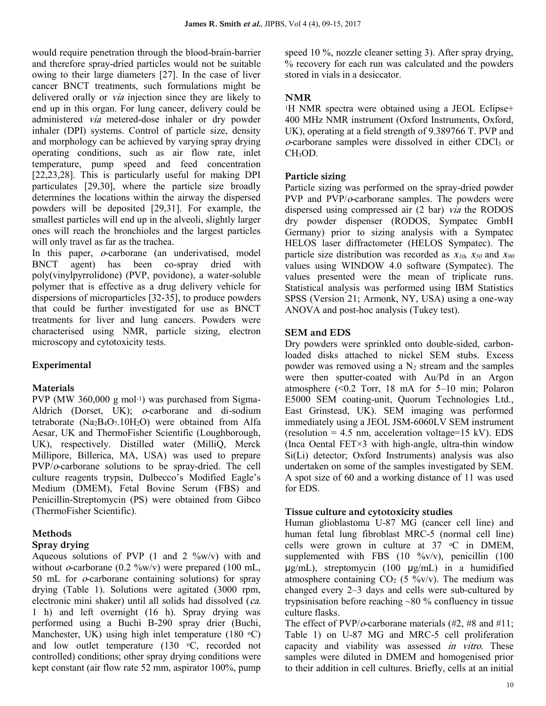would require penetration through the blood-brain-barrier and therefore spray-dried particles would not be suitable owing to their large diameters [27]. In the case of liver cancer BNCT treatments, such formulations might be delivered orally or *via* injection since they are likely to end up in this organ. For lung cancer, delivery could be administered via metered-dose inhaler or dry powder inhaler (DPI) systems. Control of particle size, density and morphology can be achieved by varying spray drying operating conditions, such as air flow rate, inlet temperature, pump speed and feed concentration [22,23,28]. This is particularly useful for making DPI particulates [29,30], where the particle size broadly determines the locations within the airway the dispersed powders will be deposited [29,31]. For example, the smallest particles will end up in the alveoli, slightly larger ones will reach the bronchioles and the largest particles will only travel as far as the trachea.

In this paper, *o*-carborane (an underivatised, model) BNCT agent) has been co-spray dried with poly(vinylpyrrolidone) (PVP, povidone), a water-soluble polymer that is effective as a drug delivery vehicle for dispersions of microparticles [32-35], to produce powders that could be further investigated for use as BNCT treatments for liver and lung cancers. Powders were characterised using NMR, particle sizing, electron microscopy and cytotoxicity tests.

## **Experimental**

## **Materials**

PVP (MW 360,000 g mol<sup>-1</sup>) was purchased from Sigma-Aldrich (Dorset, UK); o-carborane and di-sodium tetraborate  $(Na_2B_4O_7.10H_2O)$  were obtained from Alfa Aesar, UK and ThermoFisher Scientific (Loughborough, UK), respectively. Distilled water (MilliQ, Merck Millipore, Billerica, MA, USA) was used to prepare  $PVP/\sigma$ -carborane solutions to be spray-dried. The cell culture reagents trypsin, Dulbecco"s Modified Eagle"s Medium (DMEM), Fetal Bovine Serum (FBS) and Penicillin-Streptomycin (PS) were obtained from Gibco (ThermoFisher Scientific).

## **Methods**

## **Spray drying**

Aqueous solutions of PVP  $(1 \text{ and } 2 \frac{9}{w})$  with and without  $o$ -carborane (0.2 %w/v) were prepared (100 mL, 50 mL for  $o$ -carborane containing solutions) for spray drying (Table 1). Solutions were agitated (3000 rpm, electronic mini shaker) until all solids had dissolved (ca. 1 h) and left overnight (16 h). Spray drying was performed using a Buchi B-290 spray drier (Buchi, Manchester, UK) using high inlet temperature  $(180 \text{ °C})$ and low outlet temperature  $(130 \degree C,$  recorded not controlled) conditions; other spray drying conditions were kept constant (air flow rate 52 mm, aspirator 100%, pump

speed 10 %, nozzle cleaner setting 3). After spray drying, % recovery for each run was calculated and the powders stored in vials in a desiccator.

# **NMR**

<sup>1</sup>H NMR spectra were obtained using a JEOL Eclipse+ 400 MHz NMR instrument (Oxford Instruments, Oxford, UK), operating at a field strength of 9.389766 T. PVP and <sup>o</sup>-carborane samples were dissolved in either CDCl<sup>3</sup> or CH3OD.

# **Particle sizing**

Particle sizing was performed on the spray-dried powder PVP and PVP/ $o$ -carborane samples. The powders were dispersed using compressed air (2 bar) via the RODOS dry powder dispenser (RODOS, Sympatec GmbH Germany) prior to sizing analysis with a Sympatec HELOS laser diffractometer (HELOS Sympatec). The particle size distribution was recorded as  $x_{10}$ ,  $x_{50}$  and  $x_{90}$ values using WINDOW 4.0 software (Sympatec). The values presented were the mean of triplicate runs. Statistical analysis was performed using IBM Statistics SPSS (Version 21; Armonk, NY, USA) using a one-way ANOVA and post-hoc analysis (Tukey test).

## **SEM and EDS**

Dry powders were sprinkled onto double-sided, carbonloaded disks attached to nickel SEM stubs. Excess powder was removed using a  $N_2$  stream and the samples were then sputter-coated with Au/Pd in an Argon atmosphere (<0.2 Torr, 18 mA for 5–10 min; Polaron E5000 SEM coating-unit, Quorum Technologies Ltd., East Grinstead, UK). SEM imaging was performed immediately using a JEOL JSM-6060LV SEM instrument (resolution = 4.5 nm, acceleration voltage=15 kV). EDS (Inca Oental FET×3 with high-angle, ultra-thin window Si(Li) detector; Oxford Instruments) analysis was also undertaken on some of the samples investigated by SEM. A spot size of 60 and a working distance of 11 was used for EDS.

## **Tissue culture and cytotoxicity studies**

Human glioblastoma U-87 MG (cancer cell line) and human fetal lung fibroblast MRC-5 (normal cell line) cells were grown in culture at  $37 \degree$ C in DMEM, supplemented with FBS  $(10 \degree\% \text{v/v})$ , penicillin  $(100 \degree\% \text{v/v})$  $\mu$ g/mL), streptomycin (100  $\mu$ g/mL) in a humidified atmosphere containing  $CO<sub>2</sub>$  (5 %v/v). The medium was changed every 2–3 days and cells were sub-cultured by trypsinisation before reaching ~80 % confluency in tissue culture flasks.

The effect of  $PVP/\sigma$ -carborane materials (#2, #8 and #11; Table 1) on U-87 MG and MRC-5 cell proliferation capacity and viability was assessed in vitro. These samples were diluted in DMEM and homogenised prior to their addition in cell cultures. Briefly, cells at an initial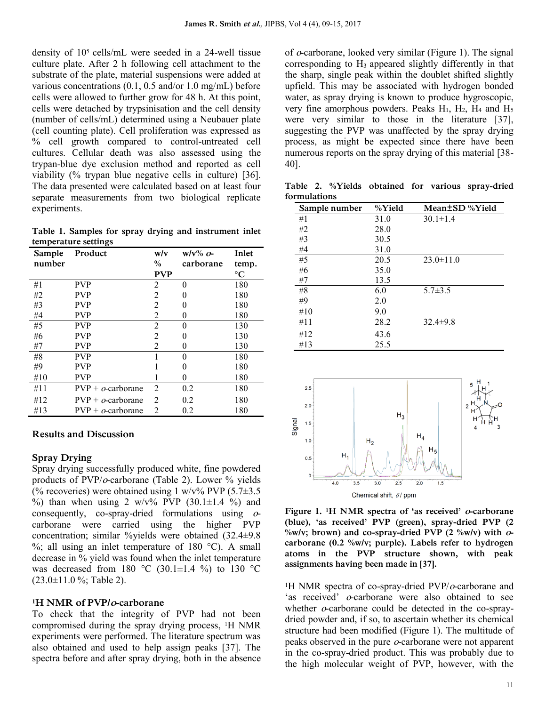density of 105 cells/mL were seeded in a 24-well tissue culture plate. After 2 h following cell attachment to the substrate of the plate, material suspensions were added at various concentrations (0.1, 0.5 and/or 1.0 mg/mL) before cells were allowed to further grow for 48 h. At this point, cells were detached by trypsinisation and the cell density (number of cells/mL) determined using a Neubauer plate (cell counting plate). Cell proliferation was expressed as % cell growth compared to control-untreated cell cultures. Cellular death was also assessed using the trypan-blue dye exclusion method and reported as cell viability (% trypan blue negative cells in culture) [36]. The data presented were calculated based on at least four separate measurements from two biological replicate experiments.

**Table 1. Samples for spray drying and instrument inlet temperature settings**

| Sample | Product                   | w/v            | $W/V\%$ o-   | Inlet           |
|--------|---------------------------|----------------|--------------|-----------------|
| number |                           | $\frac{0}{0}$  | carborane    | temp.           |
|        |                           | <b>PVP</b>     |              | $\rm ^{\circ}C$ |
| #1     | <b>PVP</b>                | 2              | 0            | 180             |
| #2     | <b>PVP</b>                | $\overline{c}$ | $\mathbf{0}$ | 180             |
| #3     | <b>PVP</b>                | $\overline{2}$ | $\mathbf{0}$ | 180             |
| #4     | <b>PVP</b>                | 2              | 0            | 180             |
| #5     | <b>PVP</b>                | $\overline{2}$ | 0            | 130             |
| #6     | <b>PVP</b>                | $\overline{c}$ | 0            | 130             |
| #7     | <b>PVP</b>                | $\overline{2}$ | $\theta$     | 130             |
| #8     | <b>PVP</b>                |                | 0            | 180             |
| #9     | <b>PVP</b>                |                | $\mathbf{0}$ | 180             |
| #10    | <b>PVP</b>                |                | 0            | 180             |
| #11    | $PVP + \sigma$ -carborane | $\overline{2}$ | 0.2          | 180             |
| #12    | $PVP + \sigma$ -carborane | $\overline{c}$ | 0.2          | 180             |
| #13    | $PVP + \sigma$ -carborane | 2              | 0.2          | 180             |

#### **Results and Discussion**

#### **Spray Drying**

Spray drying successfully produced white, fine powdered products of  $PVP/\sigma$ -carborane (Table 2). Lower  $\%$  yields (% recoveries) were obtained using 1 w/v% PVP  $(5.7\pm3.5)$ %) than when using 2 w/v% PVP  $(30.1 \pm 1.4 \%)$  and consequently, co-spray-dried formulations using ocarborane were carried using the higher PVP concentration; similar %yields were obtained (32.4±9.8  $\%$ ; all using an inlet temperature of 180 °C). A small decrease in % yield was found when the inlet temperature was decreased from 180 °C (30.1 $\pm$ 1.4 %) to 130 °C  $(23.0\pm11.0 \frac{6}{10})$ ; Table 2).

#### **<sup>1</sup>H NMR of PVP/o-carborane**

To check that the integrity of PVP had not been compromised during the spray drying process, 1H NMR experiments were performed. The literature spectrum was also obtained and used to help assign peaks [37]. The spectra before and after spray drying, both in the absence of  $o$ -carborane, looked very similar (Figure 1). The signal corresponding to H<sup>3</sup> appeared slightly differently in that the sharp, single peak within the doublet shifted slightly upfield. This may be associated with hydrogen bonded water, as spray drying is known to produce hygroscopic, very fine amorphous powders. Peaks  $H_1$ ,  $H_2$ ,  $H_4$  and  $H_5$ were very similar to those in the literature [37], suggesting the PVP was unaffected by the spray drying process, as might be expected since there have been numerous reports on the spray drying of this material [38-40].

**Table 2. %Yields obtained for various spray-dried formulations**

| Sample number | %Yield | Mean±SD %Yield  |
|---------------|--------|-----------------|
| #1            | 31.0   | $30.1 \pm 1.4$  |
| #2            | 28.0   |                 |
| #3            | 30.5   |                 |
| #4            | 31.0   |                 |
| #5            | 20.5   | $23.0 \pm 11.0$ |
| #6            | 35.0   |                 |
| #7            | 13.5   |                 |
| #8            | 6.0    | $5.7 \pm 3.5$   |
| #9            | 2.0    |                 |
| #10           | 9.0    |                 |
| #11           | 28.2   | $32.4 \pm 9.8$  |
| #12           | 43.6   |                 |
| #13           | 25.5   |                 |



**Figure 1. 1H NMR spectra of 'as received' o-carborane (blue), 'as received' PVP (green), spray-dried PVP (2 %w/v; brown) and co-spray-dried PVP (2 %w/v) with ocarborane (0.2 %w/v; purple). Labels refer to hydrogen atoms in the PVP structure shown, with peak assignments having been made in [37].**

<sup>1</sup>H NMR spectra of co-spray-dried PVP/ $o$ -carborane and 'as received'  $o$ -carborane were also obtained to see whether  $o$ -carborane could be detected in the co-spraydried powder and, if so, to ascertain whether its chemical structure had been modified (Figure 1). The multitude of peaks observed in the pure o-carborane were not apparent in the co-spray-dried product. This was probably due to the high molecular weight of PVP, however, with the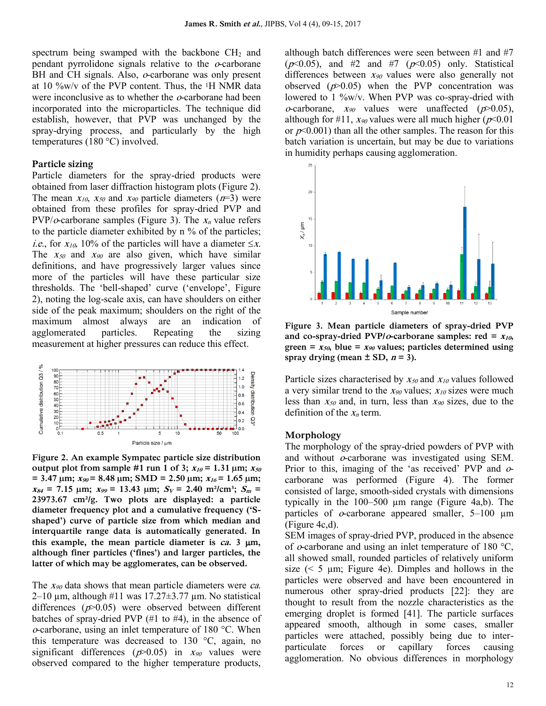spectrum being swamped with the backbone  $CH<sub>2</sub>$  and pendant pyrrolidone signals relative to the  $\alpha$ -carborane BH and CH signals. Also,  $o$ -carborane was only present at 10 %w/v of the PVP content. Thus, the 1H NMR data were inconclusive as to whether the  $\alpha$ -carborane had been incorporated into the microparticles. The technique did establish, however, that PVP was unchanged by the spray-drying process, and particularly by the high temperatures (180 °C) involved.

#### **Particle sizing**

Particle diameters for the spray-dried products were obtained from laser diffraction histogram plots (Figure 2). The mean  $x_{10}$ ,  $x_{50}$  and  $x_{90}$  particle diameters ( $n=3$ ) were obtained from these profiles for spray-dried PVP and PVP/ $o$ -carborane samples (Figure 3). The  $x_n$  value refers to the particle diameter exhibited by n % of the particles; *i.e.*, for  $x_{10}$ , 10% of the particles will have a diameter  $\leq x$ . The  $x_{50}$  and  $x_{90}$  are also given, which have similar definitions, and have progressively larger values since more of the particles will have these particular size thresholds. The 'bell-shaped' curve ('envelope', Figure 2), noting the log-scale axis, can have shoulders on either side of the peak maximum; shoulders on the right of the maximum almost always are an indication of agglomerated particles. Repeating the sizing measurement at higher pressures can reduce this effect.



**Figure 2. An example Sympatec particle size distribution output plot from sample #1 run 1 of 3;**  $x_{10} = 1.31$   $\mu$ m;  $x_{50}$  $= 3.47 \text{ }\mu\text{m}; x_{90} = 8.48 \text{ }\mu\text{m}; \text{ SMD} = 2.50 \text{ }\mu\text{m}; x_{16} = 1.65 \text{ }\mu\text{m};$  $x_{84} = 7.15$  µm;  $x_{99} = 13.43$  µm;  $S_V = 2.40$  m<sup>2</sup>/cm<sup>3</sup>;  $S_m =$ **23973.67 cm²/g. Two plots are displayed: a particle diameter frequency plot and a cumulative frequency ('Sshaped') curve of particle size from which median and interquartile range data is automatically generated. In**  this example, the mean particle diameter is  $ca$ . 3  $\mu$ m, **although finer particles ('fines') and larger particles, the latter of which may be agglomerates, can be observed.**

The  $x_{90}$  data shows that mean particle diameters were *ca*.  $2-10 \mu m$ , although #11 was 17.27 $\pm$ 3.77  $\mu$ m. No statistical differences  $(p>0.05)$  were observed between different batches of spray-dried PVP (#1 to #4), in the absence of <sup>o</sup>-carborane, using an inlet temperature of 180 °C. When this temperature was decreased to 130 °C, again, no significant differences ( $p$ >0.05) in  $x_{90}$  values were observed compared to the higher temperature products, although batch differences were seen between #1 and #7 ( $p<0.05$ ), and #2 and #7 ( $p<0.05$ ) only. Statistical differences between  $x_{90}$  values were also generally not observed  $(p>0.05)$  when the PVP concentration was lowered to 1 %w/v. When PVP was co-spray-dried with *o*-carborane,  $x_{90}$  values were unaffected ( $p > 0.05$ ), although for #11,  $x_{90}$  values were all much higher ( $p \le 0.01$ ) or  $p<0.001$ ) than all the other samples. The reason for this batch variation is uncertain, but may be due to variations in humidity perhaps causing agglomeration.



**Figure 3. Mean particle diameters of spray-dried PVP**  and co-spray-dried PVP/ $o$ -carborane samples: red =  $x_{10}$ , **green =**  $x_{50}$ **, blue =**  $x_{90}$  **values; particles determined using** spray drying (mean  $\pm$  SD,  $n = 3$ ).

Particle sizes characterised by  $x_{50}$  and  $x_{10}$  values followed a very similar trend to the  $x_{90}$  values;  $x_{10}$  sizes were much less than  $x_{50}$  and, in turn, less than  $x_{90}$  sizes, due to the definition of the  $x_n$  term.

#### **Morphology**

The morphology of the spray-dried powders of PVP with and without o-carborane was investigated using SEM. Prior to this, imaging of the 'as received' PVP and  $\sigma$ carborane was performed (Figure 4). The former consisted of large, smooth-sided crystals with dimensions typically in the 100–500 µm range (Figure 4a,b). The particles of  $o$ -carborane appeared smaller,  $5-100 \mu m$ (Figure 4c,d).

SEM images of spray-dried PVP, produced in the absence of  $o$ -carborane and using an inlet temperature of 180 °C, all showed small, rounded particles of relatively uniform size  $(< 5 \mu m$ ; Figure 4e). Dimples and hollows in the particles were observed and have been encountered in numerous other spray-dried products [22]: they are thought to result from the nozzle characteristics as the emerging droplet is formed [41]. The particle surfaces appeared smooth, although in some cases, smaller particles were attached, possibly being due to interparticulate forces or capillary forces causing agglomeration. No obvious differences in morphology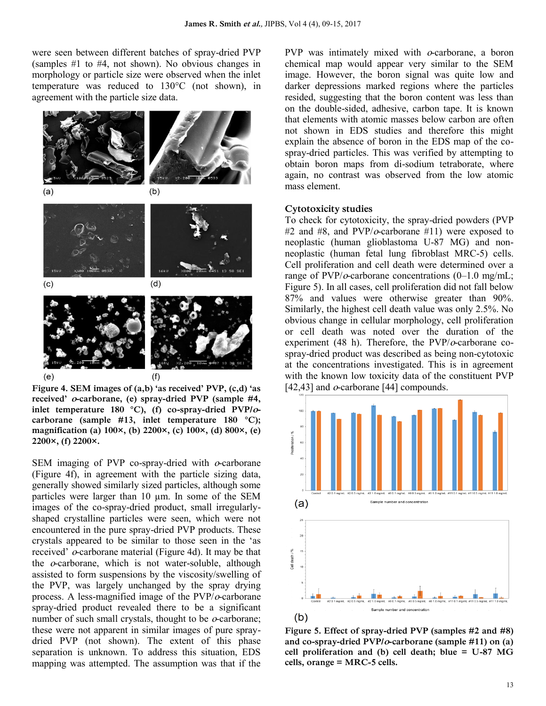were seen between different batches of spray-dried PVP (samples #1 to #4, not shown). No obvious changes in morphology or particle size were observed when the inlet temperature was reduced to 130°C (not shown), in agreement with the particle size data.



**Figure 4. SEM images of (a,b) 'as received' PVP, (c,d) 'as received' o-carborane, (e) spray-dried PVP (sample #4, inlet temperature 180 °C), (f) co-spray-dried PVP/ocarborane (sample #13, inlet temperature 180 °C); magnification (a) 100×, (b) 2200×, (c) 100×, (d) 800×, (e) 2200×, (f) 2200×.**

SEM imaging of PVP co-spray-dried with  $\alpha$ -carborane (Figure 4f), in agreement with the particle sizing data, generally showed similarly sized particles, although some particles were larger than 10 µm. In some of the SEM images of the co-spray-dried product, small irregularlyshaped crystalline particles were seen, which were not encountered in the pure spray-dried PVP products. These crystals appeared to be similar to those seen in the "as received" o-carborane material (Figure 4d). It may be that the  $o$ -carborane, which is not water-soluble, although assisted to form suspensions by the viscosity/swelling of the PVP, was largely unchanged by the spray drying process. A less-magnified image of the  $PVP/\sigma$ -carborane spray-dried product revealed there to be a significant number of such small crystals, thought to be  $o$ -carborane; these were not apparent in similar images of pure spraydried PVP (not shown). The extent of this phase separation is unknown. To address this situation, EDS mapping was attempted. The assumption was that if the

PVP was intimately mixed with  $o$ -carborane, a boron chemical map would appear very similar to the SEM image. However, the boron signal was quite low and darker depressions marked regions where the particles resided, suggesting that the boron content was less than on the double-sided, adhesive, carbon tape. It is known that elements with atomic masses below carbon are often not shown in EDS studies and therefore this might explain the absence of boron in the EDS map of the cospray-dried particles. This was verified by attempting to obtain boron maps from di-sodium tetraborate, where again, no contrast was observed from the low atomic mass element.

#### **Cytotoxicity studies**

To check for cytotoxicity, the spray-dried powders (PVP #2 and #8, and  $PVP/\sigma$ -carborane #11) were exposed to neoplastic (human glioblastoma U-87 MG) and nonneoplastic (human fetal lung fibroblast MRC-5) cells. Cell proliferation and cell death were determined over a range of  $PVP/\sigma$ -carborane concentrations (0–1.0 mg/mL; Figure 5). In all cases, cell proliferation did not fall below 87% and values were otherwise greater than 90%. Similarly, the highest cell death value was only 2.5%. No obvious change in cellular morphology, cell proliferation or cell death was noted over the duration of the experiment (48 h). Therefore, the  $PVP/\sigma$ -carborane cospray-dried product was described as being non-cytotoxic at the concentrations investigated. This is in agreement with the known low toxicity data of the constituent PVP [42,43] and  $o$ -carborane [44] compounds.



**Figure 5. Effect of spray-dried PVP (samples #2 and #8) and co-spray-dried PVP/o-carborane (sample #11) on (a) cell proliferation and (b) cell death; blue = U-87 MG cells, orange = MRC-5 cells.**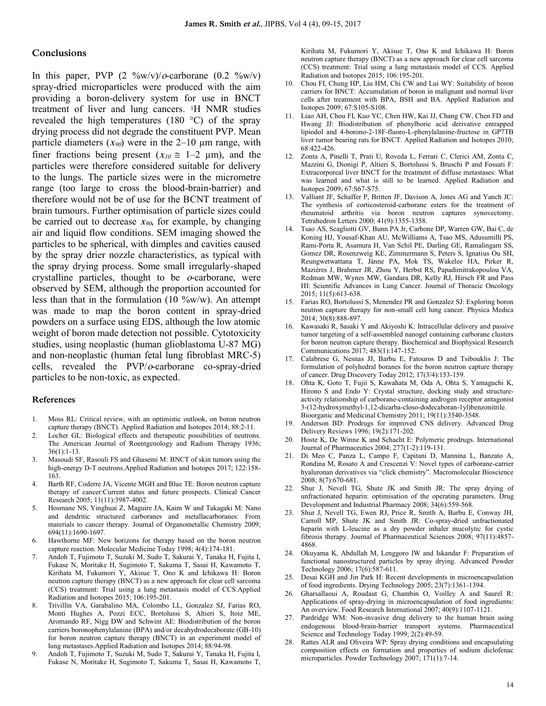#### **Conclusions**

In this paper, PVP  $(2 \sqrt[9]{\omega w/v})/\omega$ -carborane  $(0.2 \sqrt[9]{\omega w/v})$ spray-dried microparticles were produced with the aim providing a boron-delivery system for use in BNCT treatment of liver and lung cancers. 1H NMR studies revealed the high temperatures (180 °C) of the spray drying process did not degrade the constituent PVP. Mean particle diameters  $(x_{90})$  were in the 2–10 µm range, with finer fractions being present  $(x_{10} \approx 1-2 \mu m)$ , and the particles were therefore considered suitable for delivery to the lungs. The particle sizes were in the micrometre range (too large to cross the blood-brain-barrier) and therefore would not be of use for the BCNT treatment of brain tumours. Further optimisation of particle sizes could be carried out to decrease  $x_{90}$ , for example, by changing air and liquid flow conditions. SEM imaging showed the particles to be spherical, with dimples and cavities caused by the spray drier nozzle characteristics, as typical with the spray drying process. Some small irregularly-shaped crystalline particles, thought to be  $o$ -carborane, were observed by SEM, although the proportion accounted for less than that in the formulation (10  $\%$ w/w). An attempt was made to map the boron content in spray-dried powders on a surface using EDS, although the low atomic weight of boron made detection not possible. Cytotoxicity studies, using neoplastic (human glioblastoma U-87 MG) and non-neoplastic (human fetal lung fibroblast MRC-5) cells, revealed the PVP/o-carborane co-spray-dried particles to be non-toxic, as expected.

#### **References**

- 1. Moss RL: Critical review, with an optimistic outlook, on boron neutron capture therapy (BNCT). Applied Radiation and Isotopes 2014; 88:2-11.
- 2. Locher GL: Biological effects and therapeutic possibilities of neutrons. The American Journal of Roentgenology and Radium Therapy 1936; 36(1):1-13.
- 3. Masoudi SF, Rasouli FS and Ghasemi M: BNCT of skin tumors using the high-energy D-T neutrons.Applied Radiation and Isotopes 2017; 122:158- 163.
- 4. Barth RF, Coderre JA, Vicente MGH and Blue TE: Boron neutron capture therapy of cancer:Current status and future prospects. Clinical Cancer Research 2005; 11(11):3987-4002.
- 5. Hosmane NS, Yinghuai Z, Maguire JA, Kaim W and Takagaki M: Nano and dendritic structured carboranes and metallacarboranes: From materials to cancer therapy. Journal of Organometallic Chemistry 2009; 694(11):1690-1697.
- 6. Hawthorne MF: New horizons for therapy based on the boron neutron capture reaction. Molecular Medicine Today 1998; 4(4):174-181.
- 7. Andoh T, Fujimoto T, Suzuki M, Sudo T, Sakurai Y, Tanaka H, Fujita I, Fukase N, Moritake H, Sugimoto T, Sakuma T, Sasai H, Kawamoto T, Kirihata M, Fukumori Y, Akisue T, Ono K and Ichikawa H: Boron neutron capture therapy (BNCT) as a new approach for clear cell sarcoma (CCS) treatment: Trial using a lung metastasis model of CCS.Applied Radiation and Isotopes 2015; 106:195-201.
- 8. Trivillin VA, Garabalino MA, Colombo LL, Gonzalez SJ, Farias RO, Monti Hughes A, Pozzi ECC, Bortolussi S, Altieri S, Itoiz ME, Aromando RF, Nigg DW and Schwint AE: Biodistribution of the boron carriers boronophenylalanine (BPA) and/or decahydrodecaborate (GB-10) for boron neutron capture therapy (BNCT) in an experiment model of lung metastases.Applied Radiation and Isotopes 2014; 88:94-98.
- 9. Andoh T, Fujimoto T, Suzuki M, Sudo T, Sakurai Y, Tanaka H, Fujita I, Fukase N, Moritake H, Sugimoto T, Sakuma T, Sasai H, Kawamoto T,

Kirihata M, Fukumori Y, Akisue T, Ono K and Ichikawa H: Boron neutron capture therapy (BNCT) as a new approach for clear cell sarcoma (CCS) treatment: Trial using a lung metastasis model of CCS. Applied Radiation and Isotopes 2015; 106:195-201.

- 10. Chou FI, Chung HP, Liu HM, Chi CW and Lui WY: Suitability of boron carriers for BNCT: Accumulation of boron in malignant and normal liver cells after treatment with BPA, BSH and BA. Applied Radiation and Isotopes 2009; 67:S105-S108.
- 11. Liao AH, Chou FI, Kuo YC, Chen HW, Kai JJ, Chang CW, Chen FD and Hwang JJ: Biodistribution of phenylboric acid derivative entrapped lipiodol and 4-borono-2-18F-fluoro-L-phenylalanine-fructose in GP7TB liver tumor bearing rats for BNCT. Applied Radiation and Isotopes 2010; 68:422-426.
- 12. Zonta A, Pinelli T, Prati U, Roveda L, Ferrari C, Clerici AM, Zonta C, Mazzini G, Dionigi P, Altieri S, Bortolussi S, Bruschi P and Fossati F: Extracorporeal liver BNCT for the treatment of diffuse metastases: What was learned and what is still to be learned. Applied Radiation and Isotopes 2009; 67:S67-S75.
- 13. Valliant JF, Schaffer P, Britten JF, Davison A, Jones AG and Yanch JC: The synthesis of corticosteroid-carborane esters for the treatment of rheumatoid arthritis via boron neutron captures synovectomy. Tetrahedron Letters 2000; 41(9):1355-1358.
- 14. Tsao AS, Scagliotti GV, Bunn PA Jr, Carbone DP, Warren GW, Bai C, de Koning HJ, Yousaf-Khan AU, McWilliams A, Tsao MS, Adusumilli PS, Rami-Porta R, Asamura H, Van Schil PE, Darling GE, Ramalingam SS, Gomez DR, Rosenzweig KE, Zimmermann S, Peters S, Ignatius Ou SH, Reungwetwattana T, Jänne PA, Mok TS, Wakelee HA, Pirker R, Mazières J, Brahmer JR, Zhou Y, Herbst RS, Papadimitrakopoulou VA, Redman MW, Wynes MW, Gandara DR, Kelly RJ, Hirsch FR and Pass HI: Scientific Advances in Lung Cancer. Journal of Thoracic Oncology 2015; 11(5):613-638.
- 15. Farias RO, Bortolussi S, Menendez PR and Gonzalez SJ: Exploring boron neutron capture therapy for non-small cell lung cancer. Physica Medica 2014; 30(8):888-897.
- 16. Kawasaki R, Sasaki Y and Akiyoshi K: Intracellular delivery and passive tumor targeting of a self-assembled nanogel containing carborane clusters for boron neutron capture therapy. Biochemical and Biophysical Research Communications 2017; 483(1):147-152.
- 17. Calabrese G, Nesnas JJ, Barbu E, Fatouros D and Tsibouklis J: The formulation of polyhedral boranes for the boron neutron capture therapy of cancer. Drug Discovery Today 2012; 17(3/4):153-159.
- 18. Ohta K, Goto T, Fujii S, Kawahata M, Oda A, Ohta S, Yamaguchi K, Hirono S and Endo Y: Crystal structure, docking study and structureactivity relationship of carborane-containing androgen receptor antagonist 3-(12-hydroxymethyl-1,12-dicarba-closo-dodecaboran-1yl)benzonitrile. Bioorganic and Medicinal Chemistry 2011; 19(11):3540-3548.
- 19. Anderson BD: Prodrugs for improved CNS delivery. Advanced Drug Delivery Reviews 1996; 19(2):171-202.
- 20. Hoste K, De Winne K and Schacht E: Polymeric prodrugs. International Journal of Pharmaceutics 2004; 277(1-2):119-131.
- 21. Di Meo C, Panza L, Campo F, Capitani D, Mannina L, Banzato A, Rondina M, Rosato A and Crescenzi V: Novel types of carborane-carrier hyaluronan derivatives via "click chemistry". Macromolecular Bioscience 2008; 8(7):670-681.
- 22. Shur J, Nevell TG, Shute JK and Smith JR: The spray drying of unfractionated heparin: optimisation of the operating parameters. Drug Development and Industrial Pharmacy 2008; 34(6):559-568.
- 23. Shur J, Nevell TG, Ewen RJ, Price R, Smith A, Barbu E, Conway JH, Carroll MP, Shute JK and Smith JR: Co-spray-dried unfractionated heparin with L-leucine as a dry powder inhaler mucolytic for cystic fibrosis therapy. Journal of Pharmaceutical Sciences 2008; 97(11):4857- 4868.
- 24. Okuyama K, Abdullah M, Lenggoro IW and Iskandar F: Preparation of functional nanostructured particles by spray drying. Advanced Powder Technology 2006; 17(6):587-611.
- 25. Desai KGH and Jin Park H: Recent developments in microencapsulation of food ingredients. Drying Technology 2005; 23(7):1361-1394.
- 26. Gharsallaoui A, Roudaut G, Chambin O, Voilley A and Saurel R: Applications of spray-drying in microencapsulation of food ingredients: An overview. Food Research International 2007; 40(9):1107-1121.
- 27. Pardridge WM: Non-invasive drug delivery to the human brain using endogenous blood-brain-barrier transport systems. Pharmaceutical Science and Technology Today 1999; 2(2):49-59.
- 28. Rattes ALR and Oliveira WP: Spray drying conditions and encapsulating composition effects on formation and properties of sodium diclofenac microparticles. Powder Technology 2007; 171(1):7-14.